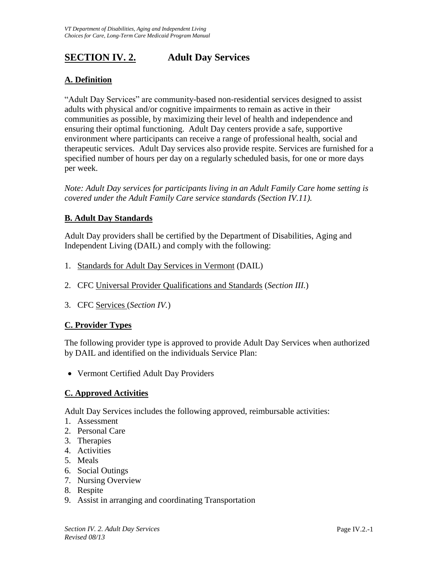# **SECTION IV. 2. Adult Day Services**

### **A. Definition**

"Adult Day Services" are community-based non-residential services designed to assist adults with physical and/or cognitive impairments to remain as active in their communities as possible, by maximizing their level of health and independence and ensuring their optimal functioning. Adult Day centers provide a safe, supportive environment where participants can receive a range of professional health, social and therapeutic services. Adult Day services also provide respite. Services are furnished for a specified number of hours per day on a regularly scheduled basis, for one or more days per week.

*Note: Adult Day services for participants living in an Adult Family Care home setting is covered under the Adult Family Care service standards (Section IV.11).* 

### **B. Adult Day Standards**

Adult Day providers shall be certified by the Department of Disabilities, Aging and Independent Living (DAIL) and comply with the following:

- 1. Standards for Adult Day Services in Vermont (DAIL)
- 2. CFC Universal Provider Qualifications and Standards (*Section III.*)
- 3. CFC Services (*Section IV.*)

### **C. Provider Types**

The following provider type is approved to provide Adult Day Services when authorized by DAIL and identified on the individuals Service Plan:

Vermont Certified Adult Day Providers

### **C. Approved Activities**

Adult Day Services includes the following approved, reimbursable activities:

- 1. Assessment
- 2. Personal Care
- 3. Therapies
- 4. Activities
- 5. Meals
- 6. Social Outings
- 7. Nursing Overview
- 8. Respite
- 9. Assist in arranging and coordinating Transportation